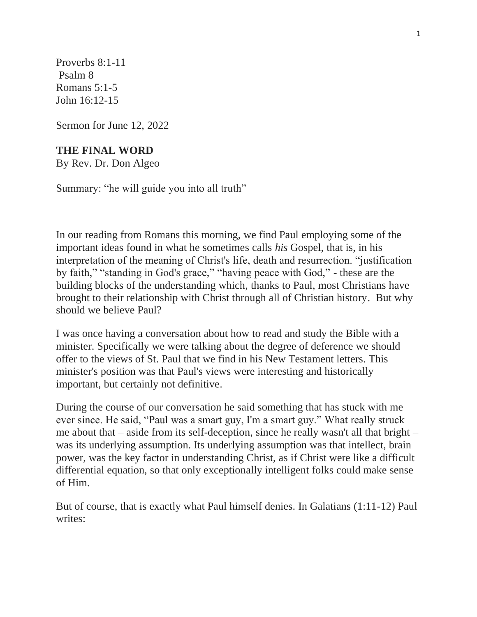Proverbs 8:1-11 Psalm 8 Romans 5:1-5 John 16:12-15

Sermon for June 12, 2022

## **THE FINAL WORD**

By Rev. Dr. Don Algeo

Summary: "he will guide you into all truth"

In our reading from Romans this morning, we find Paul employing some of the important ideas found in what he sometimes calls *his* Gospel, that is, in his interpretation of the meaning of Christ's life, death and resurrection. "justification by faith," "standing in God's grace," "having peace with God," - these are the building blocks of the understanding which, thanks to Paul, most Christians have brought to their relationship with Christ through all of Christian history. But why should we believe Paul?

I was once having a conversation about how to read and study the Bible with a minister. Specifically we were talking about the degree of deference we should offer to the views of St. Paul that we find in his New Testament letters. This minister's position was that Paul's views were interesting and historically important, but certainly not definitive.

During the course of our conversation he said something that has stuck with me ever since. He said, "Paul was a smart guy, I'm a smart guy." What really struck me about that – aside from its self-deception, since he really wasn't all that bright – was its underlying assumption. Its underlying assumption was that intellect, brain power, was the key factor in understanding Christ, as if Christ were like a difficult differential equation, so that only exceptionally intelligent folks could make sense of Him.

But of course, that is exactly what Paul himself denies. In Galatians (1:11-12) Paul writes: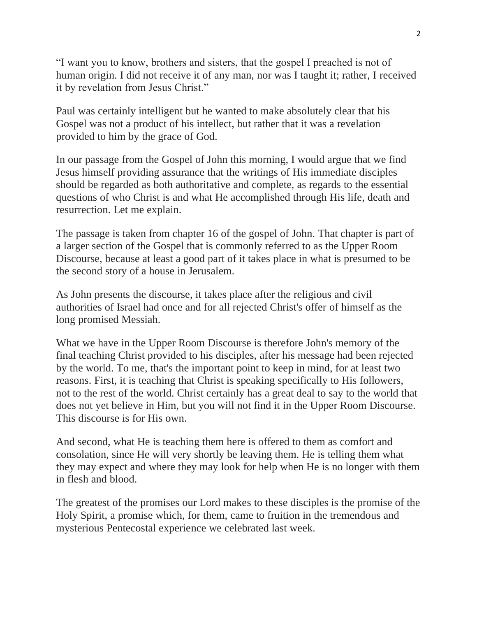"I want you to know, brothers and sisters, that the gospel I preached is not of human origin. I did not receive it of any man, nor was I taught it; rather, I received it by revelation from Jesus Christ."

Paul was certainly intelligent but he wanted to make absolutely clear that his Gospel was not a product of his intellect, but rather that it was a revelation provided to him by the grace of God.

In our passage from the Gospel of John this morning, I would argue that we find Jesus himself providing assurance that the writings of His immediate disciples should be regarded as both authoritative and complete, as regards to the essential questions of who Christ is and what He accomplished through His life, death and resurrection. Let me explain.

The passage is taken from chapter 16 of the gospel of John. That chapter is part of a larger section of the Gospel that is commonly referred to as the Upper Room Discourse, because at least a good part of it takes place in what is presumed to be the second story of a house in Jerusalem.

As John presents the discourse, it takes place after the religious and civil authorities of Israel had once and for all rejected Christ's offer of himself as the long promised Messiah.

What we have in the Upper Room Discourse is therefore John's memory of the final teaching Christ provided to his disciples, after his message had been rejected by the world. To me, that's the important point to keep in mind, for at least two reasons. First, it is teaching that Christ is speaking specifically to His followers, not to the rest of the world. Christ certainly has a great deal to say to the world that does not yet believe in Him, but you will not find it in the Upper Room Discourse. This discourse is for His own.

And second, what He is teaching them here is offered to them as comfort and consolation, since He will very shortly be leaving them. He is telling them what they may expect and where they may look for help when He is no longer with them in flesh and blood.

The greatest of the promises our Lord makes to these disciples is the promise of the Holy Spirit, a promise which, for them, came to fruition in the tremendous and mysterious Pentecostal experience we celebrated last week.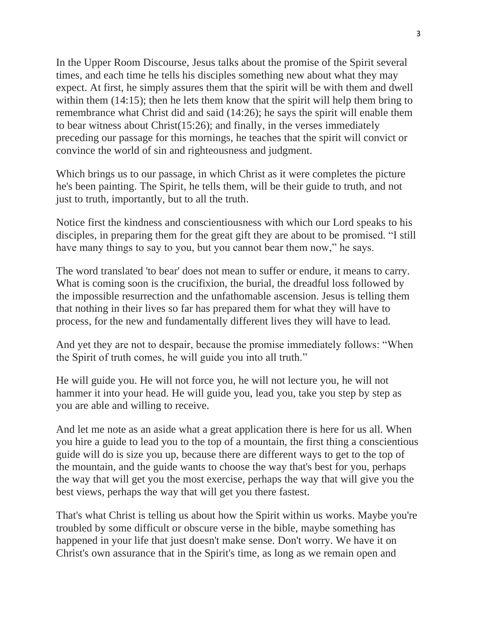In the Upper Room Discourse, Jesus talks about the promise of the Spirit several times, and each time he tells his disciples something new about what they may expect. At first, he simply assures them that the spirit will be with them and dwell within them (14:15); then he lets them know that the spirit will help them bring to remembrance what Christ did and said (14:26); he says the spirit will enable them to bear witness about Christ(15:26); and finally, in the verses immediately preceding our passage for this mornings, he teaches that the spirit will convict or convince the world of sin and righteousness and judgment.

Which brings us to our passage, in which Christ as it were completes the picture he's been painting. The Spirit, he tells them, will be their guide to truth, and not just to truth, importantly, but to all the truth.

Notice first the kindness and conscientiousness with which our Lord speaks to his disciples, in preparing them for the great gift they are about to be promised. "I still have many things to say to you, but you cannot bear them now," he says.

The word translated 'to bear' does not mean to suffer or endure, it means to carry. What is coming soon is the crucifixion, the burial, the dreadful loss followed by the impossible resurrection and the unfathomable ascension. Jesus is telling them that nothing in their lives so far has prepared them for what they will have to process, for the new and fundamentally different lives they will have to lead.

And yet they are not to despair, because the promise immediately follows: "When the Spirit of truth comes, he will guide you into all truth."

He will guide you. He will not force you, he will not lecture you, he will not hammer it into your head. He will guide you, lead you, take you step by step as you are able and willing to receive.

And let me note as an aside what a great application there is here for us all. When you hire a guide to lead you to the top of a mountain, the first thing a conscientious guide will do is size you up, because there are different ways to get to the top of the mountain, and the guide wants to choose the way that's best for you, perhaps the way that will get you the most exercise, perhaps the way that will give you the best views, perhaps the way that will get you there fastest.

That's what Christ is telling us about how the Spirit within us works. Maybe you're troubled by some difficult or obscure verse in the bible, maybe something has happened in your life that just doesn't make sense. Don't worry. We have it on Christ's own assurance that in the Spirit's time, as long as we remain open and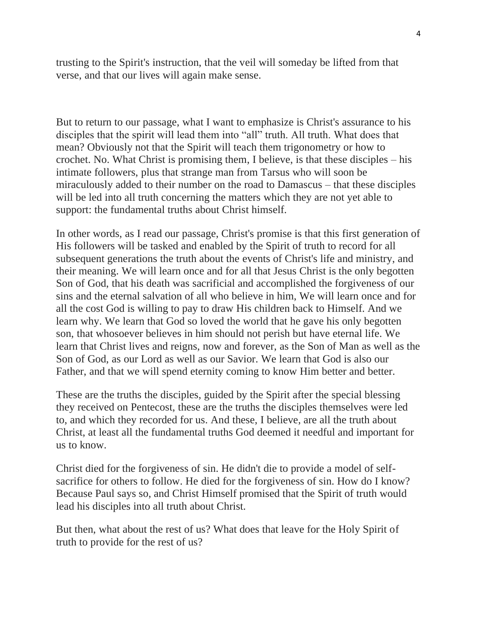trusting to the Spirit's instruction, that the veil will someday be lifted from that verse, and that our lives will again make sense.

But to return to our passage, what I want to emphasize is Christ's assurance to his disciples that the spirit will lead them into "all" truth. All truth. What does that mean? Obviously not that the Spirit will teach them trigonometry or how to crochet. No. What Christ is promising them, I believe, is that these disciples – his intimate followers, plus that strange man from Tarsus who will soon be miraculously added to their number on the road to Damascus – that these disciples will be led into all truth concerning the matters which they are not yet able to support: the fundamental truths about Christ himself.

In other words, as I read our passage, Christ's promise is that this first generation of His followers will be tasked and enabled by the Spirit of truth to record for all subsequent generations the truth about the events of Christ's life and ministry, and their meaning. We will learn once and for all that Jesus Christ is the only begotten Son of God, that his death was sacrificial and accomplished the forgiveness of our sins and the eternal salvation of all who believe in him, We will learn once and for all the cost God is willing to pay to draw His children back to Himself. And we learn why. We learn that God so loved the world that he gave his only begotten son, that whosoever believes in him should not perish but have eternal life. We learn that Christ lives and reigns, now and forever, as the Son of Man as well as the Son of God, as our Lord as well as our Savior. We learn that God is also our Father, and that we will spend eternity coming to know Him better and better.

These are the truths the disciples, guided by the Spirit after the special blessing they received on Pentecost, these are the truths the disciples themselves were led to, and which they recorded for us. And these, I believe, are all the truth about Christ, at least all the fundamental truths God deemed it needful and important for us to know.

Christ died for the forgiveness of sin. He didn't die to provide a model of selfsacrifice for others to follow. He died for the forgiveness of sin. How do I know? Because Paul says so, and Christ Himself promised that the Spirit of truth would lead his disciples into all truth about Christ.

But then, what about the rest of us? What does that leave for the Holy Spirit of truth to provide for the rest of us?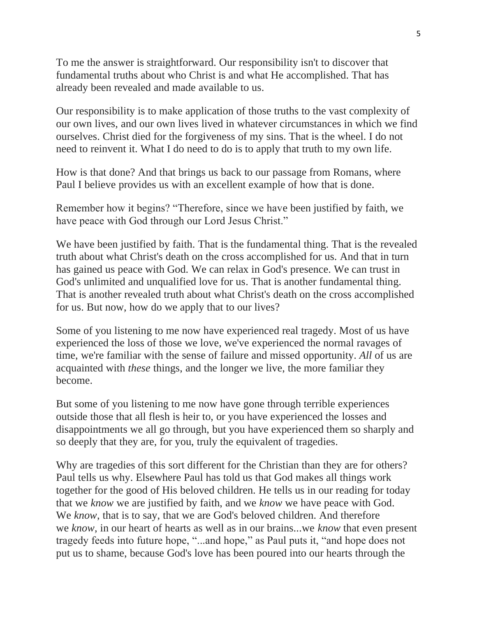To me the answer is straightforward. Our responsibility isn't to discover that fundamental truths about who Christ is and what He accomplished. That has already been revealed and made available to us.

Our responsibility is to make application of those truths to the vast complexity of our own lives, and our own lives lived in whatever circumstances in which we find ourselves. Christ died for the forgiveness of my sins. That is the wheel. I do not need to reinvent it. What I do need to do is to apply that truth to my own life.

How is that done? And that brings us back to our passage from Romans, where Paul I believe provides us with an excellent example of how that is done.

Remember how it begins? "Therefore, since we have been justified by faith, we have peace with God through our Lord Jesus Christ."

We have been justified by faith. That is the fundamental thing. That is the revealed truth about what Christ's death on the cross accomplished for us. And that in turn has gained us peace with God. We can relax in God's presence. We can trust in God's unlimited and unqualified love for us. That is another fundamental thing. That is another revealed truth about what Christ's death on the cross accomplished for us. But now, how do we apply that to our lives?

Some of you listening to me now have experienced real tragedy. Most of us have experienced the loss of those we love, we've experienced the normal ravages of time, we're familiar with the sense of failure and missed opportunity. *All* of us are acquainted with *these* things, and the longer we live, the more familiar they become.

But some of you listening to me now have gone through terrible experiences outside those that all flesh is heir to, or you have experienced the losses and disappointments we all go through, but you have experienced them so sharply and so deeply that they are, for you, truly the equivalent of tragedies.

Why are tragedies of this sort different for the Christian than they are for others? Paul tells us why. Elsewhere Paul has told us that God makes all things work together for the good of His beloved children. He tells us in our reading for today that we *know* we are justified by faith, and we *know* we have peace with God. We *know*, that is to say, that we are God's beloved children. And therefore we *know*, in our heart of hearts as well as in our brains...we *know* that even present tragedy feeds into future hope, "...and hope," as Paul puts it, "and hope does not put us to shame, because God's love has been poured into our hearts through the